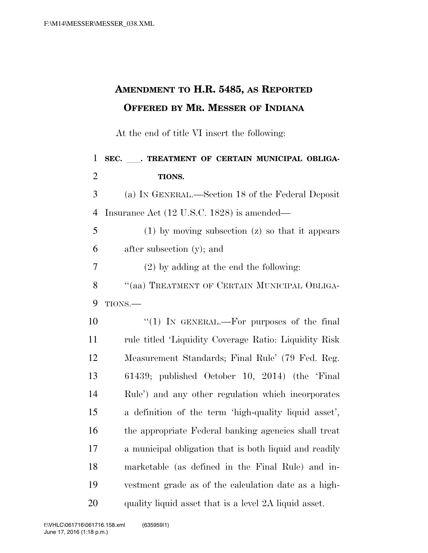## **AMENDMENT TO H.R. 5485, AS REPORTED OFFERED BY MR. MESSER OF INDIANA**

At the end of title VI insert the following:

1 SEC. \_\_\_. TREATMENT OF CERTAIN MUNICIPAL OBLIGA- **TIONS.**  (a) IN GENERAL.—Section 18 of the Federal Deposit Insurance Act (12 U.S.C. 1828) is amended— (1) by moving subsection (z) so that it appears after subsection (y); and (2) by adding at the end the following: 8 "(aa) TREATMENT OF CERTAIN MUNICIPAL OBLIGA-9 TIONS. 10 "(1) IN GENERAL.—For purposes of the final rule titled 'Liquidity Coverage Ratio: Liquidity Risk Measurement Standards; Final Rule' (79 Fed. Reg. 61439; published October 10, 2014) (the 'Final Rule') and any other regulation which incorporates a definition of the term 'high-quality liquid asset', the appropriate Federal banking agencies shall treat a municipal obligation that is both liquid and readily marketable (as defined in the Final Rule) and in- vestment grade as of the calculation date as a high-quality liquid asset that is a level 2A liquid asset.